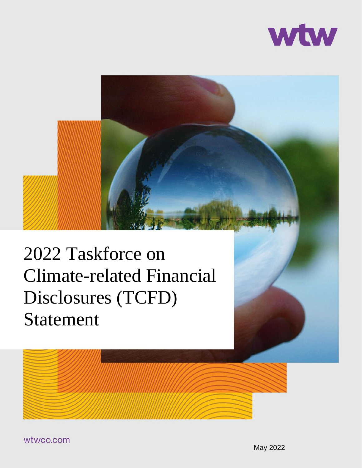



# 2022 Taskforce on Climate-related Financial Disclosures (TCFD) Statement



wtwco.com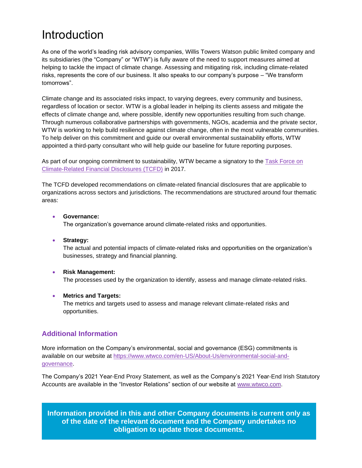### Introduction

As one of the world's leading risk advisory companies, Willis Towers Watson public limited company and its subsidiaries (the "Company" or "WTW") is fully aware of the need to support measures aimed at helping to tackle the impact of climate change. Assessing and mitigating risk, including climate-related risks, represents the core of our business. It also speaks to our company's purpose – "We transform tomorrows".

Climate change and its associated risks impact, to varying degrees, every community and business, regardless of location or sector. WTW is a global leader in helping its clients assess and mitigate the effects of climate change and, where possible, identify new opportunities resulting from such change. Through numerous collaborative partnerships with governments, NGOs, academia and the private sector, WTW is working to help build resilience against climate change, often in the most vulnerable communities. To help deliver on this commitment and guide our overall environmental sustainability efforts, WTW appointed a third-party consultant who will help guide our baseline for future reporting purposes.

As part of our ongoing commitment to sustainability, WTW became a signatory to the **Task Force on** [Climate-Related Financial Disclosures \(TCFD\)](https://www.fsb-tcfd.org/) in 2017.

The TCFD developed recommendations on climate-related financial disclosures that are applicable to organizations across sectors and jurisdictions. The recommendations are structured around four thematic areas:

#### • **Governance:**

The organization's governance around climate-related risks and opportunities.

#### • **Strategy:**

The actual and potential impacts of climate-related risks and opportunities on the organization's businesses, strategy and financial planning.

#### • **Risk Management:** The processes used by the organization to identify, assess and manage climate-related risks.

#### • **Metrics and Targets:**

The metrics and targets used to assess and manage relevant climate-related risks and opportunities.

### **Additional Information**

More information on the Company's environmental, social and governance (ESG) commitments is available on our website at [https://www.wtwco.com/en-US/About-Us/environmental-social-and](https://www.wtwco.com/en-US/About-Us/environmental-social-and-governance)[governance.](https://www.wtwco.com/en-US/About-Us/environmental-social-and-governance)

The Company's 2021 Year-End Proxy Statement, as well as the Company's 2021 Year-End Irish Statutory Accounts are available in the "Investor Relations" section of our website at [www.wtwco.com.](http://www.wtwco.com/)

**Information provided in this and other Company documents is current only as of the date of the relevant document and the Company undertakes no obligation to update those documents.**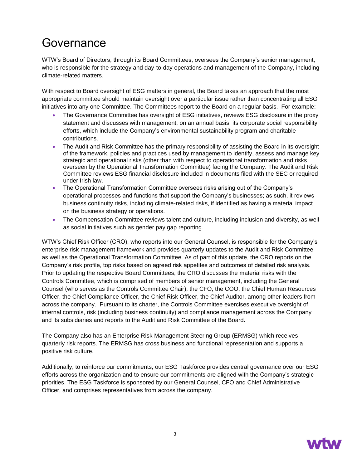### Governance

WTW's Board of Directors, through its Board Committees, oversees the Company's senior management, who is responsible for the strategy and day-to-day operations and management of the Company, including climate-related matters.

With respect to Board oversight of ESG matters in general, the Board takes an approach that the most appropriate committee should maintain oversight over a particular issue rather than concentrating all ESG initiatives into any one Committee. The Committees report to the Board on a regular basis. For example:

- The Governance Committee has oversight of ESG initiatives, reviews ESG disclosure in the proxy statement and discusses with management, on an annual basis, its corporate social responsibility efforts, which include the Company's environmental sustainability program and charitable contributions.
- The Audit and Risk Committee has the primary responsibility of assisting the Board in its oversight of the framework, policies and practices used by management to identify, assess and manage key strategic and operational risks (other than with respect to operational transformation and risks overseen by the Operational Transformation Committee) facing the Company. The Audit and Risk Committee reviews ESG financial disclosure included in documents filed with the SEC or required under Irish law.
- The Operational Transformation Committee oversees risks arising out of the Company's operational processes and functions that support the Company's businesses; as such, it reviews business continuity risks, including climate-related risks, if identified as having a material impact on the business strategy or operations.
- The Compensation Committee reviews talent and culture, including inclusion and diversity, as well as social initiatives such as gender pay gap reporting.

WTW's Chief Risk Officer (CRO), who reports into our General Counsel, is responsible for the Company's enterprise risk management framework and provides quarterly updates to the Audit and Risk Committee as well as the Operational Transformation Committee. As of part of this update, the CRO reports on the Company's risk profile, top risks based on agreed risk appetites and outcomes of detailed risk analysis. Prior to updating the respective Board Committees, the CRO discusses the material risks with the Controls Committee, which is comprised of members of senior management, including the General Counsel (who serves as the Controls Committee Chair), the CFO, the COO, the Chief Human Resources Officer, the Chief Compliance Officer, the Chief Risk Officer, the Chief Auditor, among other leaders from across the company. Pursuant to its charter, the Controls Committee exercises executive oversight of internal controls, risk (including business continuity) and compliance management across the Company and its subsidiaries and reports to the Audit and Risk Committee of the Board.

The Company also has an Enterprise Risk Management Steering Group (ERMSG) which receives quarterly risk reports. The ERMSG has cross business and functional representation and supports a positive risk culture.

Additionally, to reinforce our commitments, our ESG Taskforce provides central governance over our ESG efforts across the organization and to ensure our commitments are aligned with the Company's strategic priorities. The ESG Taskforce is sponsored by our General Counsel, CFO and Chief Administrative Officer, and comprises representatives from across the company.

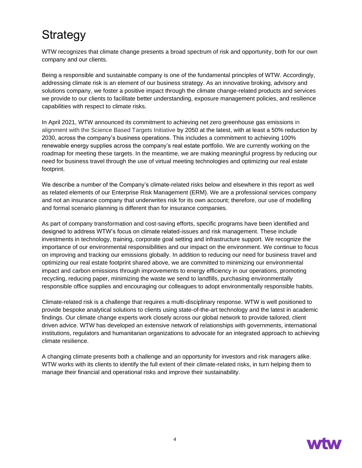### **Strategy**

WTW recognizes that climate change presents a broad spectrum of risk and opportunity, both for our own company and our clients.

Being a responsible and sustainable company is one of the fundamental principles of WTW. Accordingly, addressing climate risk is an element of our business strategy. As an innovative broking, advisory and solutions company, we foster a positive impact through the climate change-related products and services we provide to our clients to facilitate better understanding, exposure management policies, and resilience capabilities with respect to climate risks.

In April 2021, WTW announced its commitment to achieving net zero greenhouse gas emissions in alignment with the Science Based Targets Initiative by 2050 at the latest, with at least a 50% reduction by 2030, across the company's business operations. This includes a commitment to achieving 100% renewable energy supplies across the company's real estate portfolio. We are currently working on the roadmap for meeting these targets. In the meantime, we are making meaningful progress by reducing our need for business travel through the use of virtual meeting technologies and optimizing our real estate footprint.

We describe a number of the Company's climate-related risks below and elsewhere in this report as well as related elements of our Enterprise Risk Management (ERM). We are a professional services company and not an insurance company that underwrites risk for its own account; therefore, our use of modelling and formal scenario planning is different than for insurance companies.

As part of company transformation and cost-saving efforts, specific programs have been identified and designed to address WTW's focus on climate related-issues and risk management. These include investments in technology, training, corporate goal setting and infrastructure support. We recognize the importance of our environmental responsibilities and our impact on the environment. We continue to focus on improving and tracking our emissions globally. In addition to reducing our need for business travel and optimizing our real estate footprint shared above, we are committed to minimizing our environmental impact and carbon emissions through improvements to energy efficiency in our operations, promoting recycling, reducing paper, minimizing the waste we send to landfills, purchasing environmentally responsible office supplies and encouraging our colleagues to adopt environmentally responsible habits.

Climate-related risk is a challenge that requires a multi-disciplinary response. WTW is well positioned to provide bespoke analytical solutions to clients using state-of-the-art technology and the latest in academic findings. Our climate change experts work closely across our global network to provide tailored, client driven advice. WTW has developed an extensive network of relationships with governments, international institutions, regulators and humanitarian organizations to advocate for an integrated approach to achieving climate resilience.

A changing climate presents both a challenge and an opportunity for investors and risk managers alike. WTW works with its clients to identify the full extent of their climate-related risks, in turn helping them to manage their financial and operational risks and improve their sustainability.

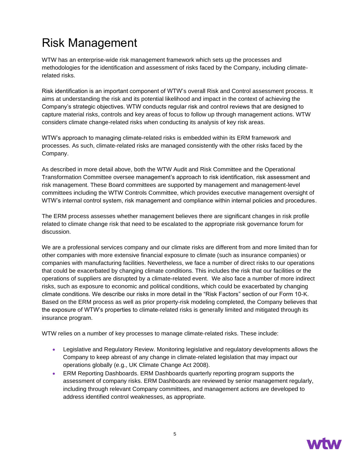# Risk Management

WTW has an enterprise-wide risk management framework which sets up the processes and methodologies for the identification and assessment of risks faced by the Company, including climaterelated risks.

Risk identification is an important component of WTW's overall Risk and Control assessment process. It aims at understanding the risk and its potential likelihood and impact in the context of achieving the Company's strategic objectives. WTW conducts regular risk and control reviews that are designed to capture material risks, controls and key areas of focus to follow up through management actions. WTW considers climate change-related risks when conducting its analysis of key risk areas.

WTW's approach to managing climate-related risks is embedded within its ERM framework and processes. As such, climate-related risks are managed consistently with the other risks faced by the Company.

As described in more detail above, both the WTW Audit and Risk Committee and the Operational Transformation Committee oversee management's approach to risk identification, risk assessment and risk management. These Board committees are supported by management and management-level committees including the WTW Controls Committee, which provides executive management oversight of WTW's internal control system, risk management and compliance within internal policies and procedures.

The ERM process assesses whether management believes there are significant changes in risk profile related to climate change risk that need to be escalated to the appropriate risk governance forum for discussion.

We are a professional services company and our climate risks are different from and more limited than for other companies with more extensive financial exposure to climate (such as insurance companies) or companies with manufacturing facilities. Nevertheless, we face a number of direct risks to our operations that could be exacerbated by changing climate conditions. This includes the risk that our facilities or the operations of suppliers are disrupted by a climate-related event. We also face a number of more indirect risks, such as exposure to economic and political conditions, which could be exacerbated by changing climate conditions. We describe our risks in more detail in the "Risk Factors" section of our Form 10-K. Based on the ERM process as well as prior property-risk modeling completed, the Company believes that the exposure of WTW's properties to climate-related risks is generally limited and mitigated through its insurance program.

WTW relies on a number of key processes to manage climate-related risks. These include:

- Legislative and Regulatory Review. Monitoring legislative and regulatory developments allows the Company to keep abreast of any change in climate-related legislation that may impact our operations globally (e.g., UK Climate Change Act 2008).
- ERM Reporting Dashboards. ERM Dashboards quarterly reporting program supports the assessment of company risks. ERM Dashboards are reviewed by senior management regularly, including through relevant Company committees, and management actions are developed to address identified control weaknesses, as appropriate.

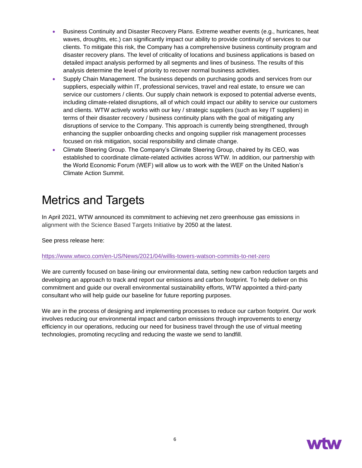- Business Continuity and Disaster Recovery Plans. Extreme weather events (e.g., hurricanes, heat waves, droughts, etc.) can significantly impact our ability to provide continuity of services to our clients. To mitigate this risk, the Company has a comprehensive business continuity program and disaster recovery plans. The level of criticality of locations and business applications is based on detailed impact analysis performed by all segments and lines of business. The results of this analysis determine the level of priority to recover normal business activities.
- Supply Chain Management. The business depends on purchasing goods and services from our suppliers, especially within IT, professional services, travel and real estate, to ensure we can service our customers / clients. Our supply chain network is exposed to potential adverse events, including climate-related disruptions, all of which could impact our ability to service our customers and clients. WTW actively works with our key / strategic suppliers (such as key IT suppliers) in terms of their disaster recovery / business continuity plans with the goal of mitigating any disruptions of service to the Company. This approach is currently being strengthened, through enhancing the supplier onboarding checks and ongoing supplier risk management processes focused on risk mitigation, social responsibility and climate change.
- Climate Steering Group. The Company's Climate Steering Group, chaired by its CEO, was established to coordinate climate-related activities across WTW. In addition, our partnership with the World Economic Forum (WEF) will allow us to work with the WEF on the United Nation's Climate Action Summit.

# Metrics and Targets

In April 2021, WTW announced its commitment to achieving net zero greenhouse gas emissions in alignment with the Science Based Targets Initiative by 2050 at the latest.

See press release here:

#### <https://www.wtwco.com/en-US/News/2021/04/willis-towers-watson-commits-to-net-zero>

We are currently focused on base-lining our environmental data, setting new carbon reduction targets and developing an approach to track and report our emissions and carbon footprint. To help deliver on this commitment and guide our overall environmental sustainability efforts, WTW appointed a third-party consultant who will help guide our baseline for future reporting purposes.

We are in the process of designing and implementing processes to reduce our carbon footprint. Our work involves reducing our environmental impact and carbon emissions through improvements to energy efficiency in our operations, reducing our need for business travel through the use of virtual meeting technologies, promoting recycling and reducing the waste we send to landfill.

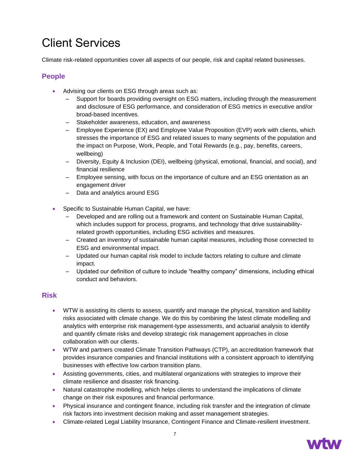# Client Services

Climate risk-related opportunities cover all aspects of our people, risk and capital related businesses.

### **People**

- Advising our clients on ESG through areas such as:
	- ‒ Support for boards providing oversight on ESG matters, including through the measurement and disclosure of ESG performance, and consideration of ESG metrics in executive and/or broad-based incentives.
	- ‒ Stakeholder awareness, education, and awareness
	- ‒ Employee Experience (EX) and Employee Value Proposition (EVP) work with clients, which stresses the importance of ESG and related issues to many segments of the population and the impact on Purpose, Work, People, and Total Rewards (e.g., pay, benefits, careers, wellbeing)
	- ‒ Diversity, Equity & Inclusion (DEI), wellbeing (physical, emotional, financial, and social), and financial resilience
	- ‒ Employee sensing, with focus on the importance of culture and an ESG orientation as an engagement driver
	- ‒ Data and analytics around ESG
- Specific to Sustainable Human Capital, we have:
	- ‒ Developed and are rolling out a framework and content on Sustainable Human Capital, which includes support for process, programs, and technology that drive sustainabilityrelated growth opportunities, including ESG activities and measures.
	- ‒ Created an inventory of sustainable human capital measures, including those connected to ESG and environmental impact.
	- ‒ Updated our human capital risk model to include factors relating to culture and climate impact.
	- ‒ Updated our definition of culture to include "healthy company" dimensions, including ethical conduct and behaviors.

### **Risk**

- WTW is assisting its clients to assess, quantify and manage the physical, transition and liability risks associated with climate change. We do this by combining the latest climate modelling and analytics with enterprise risk management-type assessments, and actuarial analysis to identify and quantify climate risks and develop strategic risk management approaches in close collaboration with our clients.
- WTW and partners created Climate Transition Pathways (CTP), an accreditation framework that provides insurance companies and financial institutions with a consistent approach to identifying businesses with effective low carbon transition plans.
- Assisting governments, cities, and multilateral organizations with strategies to improve their climate resilience and disaster risk financing.
- Natural catastrophe modelling, which helps clients to understand the implications of climate change on their risk exposures and financial performance.
- Physical insurance and contingent finance, including risk transfer and the integration of climate risk factors into investment decision making and asset management strategies.
- Climate-related Legal Liability Insurance, Contingent Finance and Climate-resilient investment.

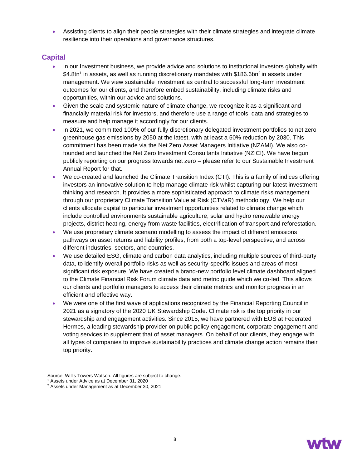• Assisting clients to align their people strategies with their climate strategies and integrate climate resilience into their operations and governance structures.

#### **Capital**

- In our Investment business, we provide advice and solutions to institutional investors globally with \$4.8tn<sup>1</sup> in assets, as well as running discretionary mandates with \$186.6bn<sup>2</sup> in assets under management. We view sustainable investment as central to successful long-term investment outcomes for our clients, and therefore embed sustainability, including climate risks and opportunities, within our advice and solutions.
- Given the scale and systemic nature of climate change, we recognize it as a significant and financially material risk for investors, and therefore use a range of tools, data and strategies to measure and help manage it accordingly for our clients.
- In 2021, we committed 100% of our fully discretionary delegated investment portfolios to net zero greenhouse gas emissions by 2050 at the latest, with at least a 50% reduction by 2030. This commitment has been made via the Net Zero Asset Managers Initiative (NZAMI). We also cofounded and launched the Net Zero Investment Consultants Initiative (NZICI). We have begun publicly reporting on our progress towards net zero – please refer to our Sustainable Investment Annual Report for that.
- We co-created and launched the Climate Transition Index (CTI). This is a family of indices offering investors an innovative solution to help manage climate risk whilst capturing our latest investment thinking and research. It provides a more sophisticated approach to climate risks management through our proprietary Climate Transition Value at Risk (CTVaR) methodology. We help our clients allocate capital to particular investment opportunities related to climate change which include controlled environments sustainable agriculture, solar and hydro renewable energy projects, district heating, energy from waste facilities, electrification of transport and reforestation.
- We use proprietary climate scenario modelling to assess the impact of different emissions pathways on asset returns and liability profiles, from both a top-level perspective, and across different industries, sectors, and countries.
- We use detailed ESG, climate and carbon data analytics, including multiple sources of third-party data, to identify overall portfolio risks as well as security-specific issues and areas of most significant risk exposure. We have created a brand-new portfolio level climate dashboard aligned to the Climate Financial Risk Forum climate data and metric guide which we co-led. This allows our clients and portfolio managers to access their climate metrics and monitor progress in an efficient and effective way.
- We were one of the first wave of applications recognized by the Financial Reporting Council in 2021 as a signatory of the 2020 UK Stewardship Code. Climate risk is the top priority in our stewardship and engagement activities. Since 2015, we have partnered with EOS at Federated Hermes, a leading stewardship provider on public policy engagement, corporate engagement and voting services to supplement that of asset managers. On behalf of our clients, they engage with all types of companies to improve sustainability practices and climate change action remains their top priority.



Source: Willis Towers Watson. All figures are subject to change.

<sup>1</sup> Assets under Advice as at December 31, 2020

<sup>2</sup> Assets under Management as at December 30, 2021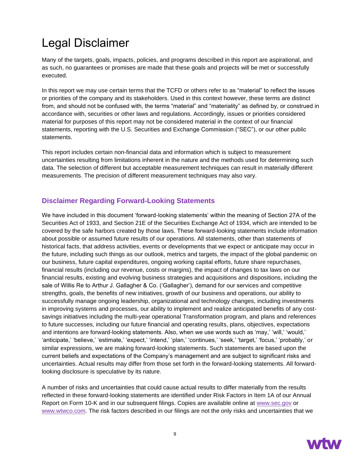# Legal Disclaimer

Many of the targets, goals, impacts, policies, and programs described in this report are aspirational, and as such, no guarantees or promises are made that these goals and projects will be met or successfully executed.

In this report we may use certain terms that the TCFD or others refer to as "material" to reflect the issues or priorities of the company and its stakeholders. Used in this context however, these terms are distinct from, and should not be confused with, the terms "material" and "materiality" as defined by, or construed in accordance with, securities or other laws and regulations. Accordingly, issues or priorities considered material for purposes of this report may not be considered material in the context of our financial statements, reporting with the U.S. Securities and Exchange Commission ("SEC"), or our other public statements.

This report includes certain non-financial data and information which is subject to measurement uncertainties resulting from limitations inherent in the nature and the methods used for determining such data. The selection of different but acceptable measurement techniques can result in materially different measurements. The precision of different measurement techniques may also vary.

### **Disclaimer Regarding Forward-Looking Statements**

We have included in this document 'forward-looking statements' within the meaning of Section 27A of the Securities Act of 1933, and Section 21E of the Securities Exchange Act of 1934, which are intended to be covered by the safe harbors created by those laws. These forward-looking statements include information about possible or assumed future results of our operations. All statements, other than statements of historical facts, that address activities, events or developments that we expect or anticipate may occur in the future, including such things as our outlook, metrics and targets, the impact of the global pandemic on our business, future capital expenditures, ongoing working capital efforts, future share repurchases, financial results (including our revenue, costs or margins), the impact of changes to tax laws on our financial results, existing and evolving business strategies and acquisitions and dispositions, including the sale of Willis Re to Arthur J. Gallagher & Co. ('Gallagher'), demand for our services and competitive strengths, goals, the benefits of new initiatives, growth of our business and operations, our ability to successfully manage ongoing leadership, organizational and technology changes, including investments in improving systems and processes, our ability to implement and realize anticipated benefits of any costsavings initiatives including the multi-year operational Transformation program, and plans and references to future successes, including our future financial and operating results, plans, objectives, expectations and intentions are forward-looking statements. Also, when we use words such as 'may,' 'will,' 'would,' 'anticipate,' 'believe,' 'estimate,' 'expect,' 'intend,' 'plan,' 'continues,' 'seek,' 'target,' 'focus,' 'probably,' or similar expressions, we are making forward-looking statements. Such statements are based upon the current beliefs and expectations of the Company's management and are subject to significant risks and uncertainties. Actual results may differ from those set forth in the forward-looking statements. All forwardlooking disclosure is speculative by its nature.

A number of risks and uncertainties that could cause actual results to differ materially from the results reflected in these forward-looking statements are identified under Risk Factors in Item 1A of our Annual Report on Form 10-K and in our subsequent filings. Copies are available online at [www.sec.gov](file://///wwc/detroit/data01/Conf/Byrnes%20-%20TW%20Data/WTW-2022/www.sec.gov) or [www.wtwco.com.](file://///wwc/detroit/data01/Conf/Byrnes%20-%20TW%20Data/WTW-2022/www.wtwco.com) The risk factors described in our filings are not the only risks and uncertainties that we